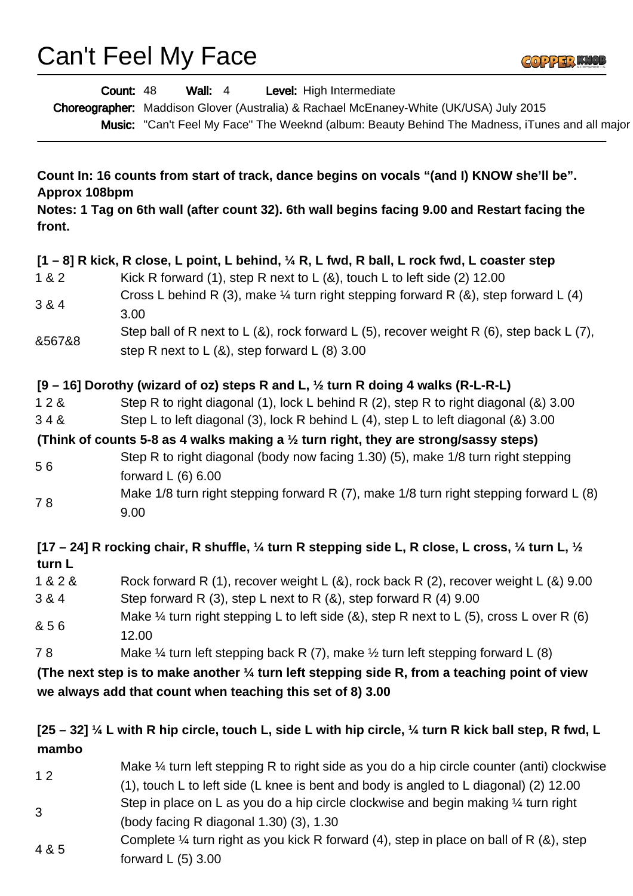Can't Feel My Face



| Wall: $4$<br>Level: High Intermediate<br>Count: 48<br>Choreographer: Maddison Glover (Australia) & Rachael McEnaney-White (UK/USA) July 2015<br>Music: "Can't Feel My Face" The Weeknd (album: Beauty Behind The Madness, iTunes and all major |                                                                                                                                                                                         |  |
|------------------------------------------------------------------------------------------------------------------------------------------------------------------------------------------------------------------------------------------------|-----------------------------------------------------------------------------------------------------------------------------------------------------------------------------------------|--|
|                                                                                                                                                                                                                                                |                                                                                                                                                                                         |  |
| Approx 108bpm                                                                                                                                                                                                                                  | Count In: 16 counts from start of track, dance begins on vocals "(and I) KNOW she'll be".                                                                                               |  |
| Notes: 1 Tag on 6th wall (after count 32). 6th wall begins facing 9.00 and Restart facing the<br>front.                                                                                                                                        |                                                                                                                                                                                         |  |
| 1 & 2                                                                                                                                                                                                                                          | $[1 - 8]$ R kick, R close, L point, L behind, $\frac{1}{4}$ R, L fwd, R ball, L rock fwd, L coaster step<br>Kick R forward (1), step R next to L $(8)$ , touch L to left side (2) 12.00 |  |
| 3 & 4                                                                                                                                                                                                                                          | Cross L behind R (3), make $\frac{1}{4}$ turn right stepping forward R (&), step forward L (4)<br>3.00                                                                                  |  |
| &567&8                                                                                                                                                                                                                                         | Step ball of R next to L $(8)$ , rock forward L $(5)$ , recover weight R $(6)$ , step back L $(7)$ ,<br>step R next to $L(8)$ , step forward $L(8)$ 3.00                                |  |
|                                                                                                                                                                                                                                                | [9 – 16] Dorothy (wizard of oz) steps R and L, $\frac{1}{2}$ turn R doing 4 walks (R-L-R-L)                                                                                             |  |
| 128<br>348                                                                                                                                                                                                                                     | Step R to right diagonal (1), lock L behind R (2), step R to right diagonal (&) 3.00<br>Step L to left diagonal (3), lock R behind L (4), step L to left diagonal (&) 3.00              |  |
|                                                                                                                                                                                                                                                | (Think of counts 5-8 as 4 walks making a $\frac{1}{2}$ turn right, they are strong/sassy steps)                                                                                         |  |
| 56                                                                                                                                                                                                                                             | Step R to right diagonal (body now facing 1.30) (5), make 1/8 turn right stepping<br>forward $L(6)$ 6.00                                                                                |  |
| 78                                                                                                                                                                                                                                             | Make 1/8 turn right stepping forward R $(7)$ , make 1/8 turn right stepping forward L $(8)$<br>9.00                                                                                     |  |
| turn L                                                                                                                                                                                                                                         | [17 – 24] R rocking chair, R shuffle, $\frac{1}{4}$ turn R stepping side L, R close, L cross, $\frac{1}{4}$ turn L, $\frac{1}{2}$                                                       |  |
| 1 & 2 &<br>3 & 4                                                                                                                                                                                                                               | Rock forward R (1), recover weight L (&), rock back R (2), recover weight L (&) 9.00<br>Step forward R $(3)$ , step L next to R $(8)$ , step forward R $(4)$ 9.00                       |  |
| & 56                                                                                                                                                                                                                                           | Make $\frac{1}{4}$ turn right stepping L to left side (&), step R next to L (5), cross L over R (6)<br>12.00                                                                            |  |
| 78                                                                                                                                                                                                                                             | Make $\frac{1}{4}$ turn left stepping back R (7), make $\frac{1}{2}$ turn left stepping forward L (8)                                                                                   |  |
|                                                                                                                                                                                                                                                | (The next step is to make another $\frac{1}{4}$ turn left stepping side R, from a teaching point of view                                                                                |  |
|                                                                                                                                                                                                                                                | we always add that count when teaching this set of 8) 3.00                                                                                                                              |  |
| mambo                                                                                                                                                                                                                                          | $[25 - 32]$ ¼ L with R hip circle, touch L, side L with hip circle, ¼ turn R kick ball step, R fwd, L                                                                                   |  |
| 12                                                                                                                                                                                                                                             | Make 1/4 turn left stepping R to right side as you do a hip circle counter (anti) clockwise<br>(1), touch L to left side (L knee is bent and body is angled to L diagonal) (2) 12.00    |  |
| 3                                                                                                                                                                                                                                              | Step in place on L as you do a hip circle clockwise and begin making $\frac{1}{4}$ turn right<br>(body facing R diagonal 1.30) (3), 1.30                                                |  |
| 4 & 5                                                                                                                                                                                                                                          | Complete $\frac{1}{4}$ turn right as you kick R forward (4), step in place on ball of R (&), step                                                                                       |  |

forward L (5) 3.00